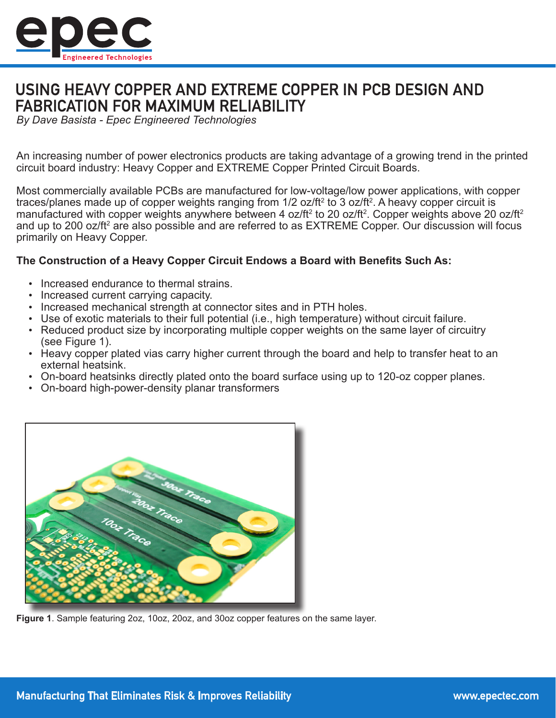

# USING HEAVY COPPER AND EXTREME COPPER IN PCB DESIGN AND **FABRICATION FOR MAXIMUM RELIABILITY**

*By Dave Basista - Epec Engineered Technologies*

An increasing number of power electronics products are taking advantage of a growing trend in the printed circuit board industry: Heavy Copper and EXTREME Copper Printed Circuit Boards.

Most commercially available PCBs are manufactured for low-voltage/low power applications, with copper traces/planes made up of copper weights ranging from 1/2 oz/ft² to 3 oz/ft². A heavy copper circuit is manufactured with copper weights anywhere between 4 oz/ft $^{\rm 2}$  to 20 oz/ft $^{\rm 2}$ . Copper weights above 20 oz/ft $^{\rm 2}$ and up to 200 oz/ft $^{\rm 2}$  are also possible and are referred to as  ${\sf EXTREME}$  Copper. Our discussion will focus primarily on Heavy Copper.

### **The Construction of a Heavy Copper Circuit Endows a Board with Benefits Such As:**

- Increased endurance to thermal strains.
- Increased current carrying capacity.
- Increased mechanical strength at connector sites and in PTH holes.
- Use of exotic materials to their full potential (i.e., high temperature) without circuit failure.
- Reduced product size by incorporating multiple copper weights on the same layer of circuitry (see Figure 1).
- Heavy copper plated vias carry higher current through the board and help to transfer heat to an external heatsink.
- On-board heatsinks directly plated onto the board surface using up to 120-oz copper planes.
- On-board high-power-density planar transformers



**Figure 1**. Sample featuring 2oz, 10oz, 20oz, and 30oz copper features on the same layer.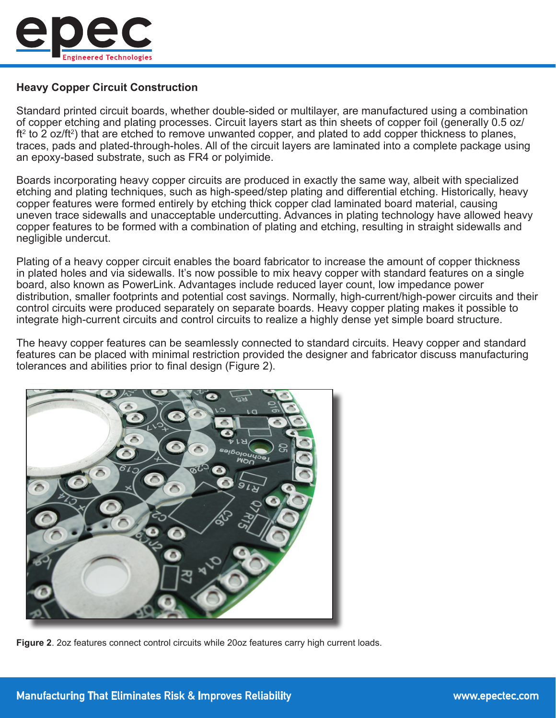

# **Heavy Copper Circuit Construction**

Standard printed circuit boards, whether double-sided or multilayer, are manufactured using a combination of copper etching and plating processes. Circuit layers start as thin sheets of copper foil (generally 0.5 oz/ ft² to 2 oz/ft²) that are etched to remove unwanted copper, and plated to add copper thickness to planes, traces, pads and plated-through-holes. All of the circuit layers are laminated into a complete package using an epoxy-based substrate, such as FR4 or polyimide.

Boards incorporating heavy copper circuits are produced in exactly the same way, albeit with specialized etching and plating techniques, such as high-speed/step plating and differential etching. Historically, heavy copper features were formed entirely by etching thick copper clad laminated board material, causing uneven trace sidewalls and unacceptable undercutting. Advances in plating technology have allowed heavy copper features to be formed with a combination of plating and etching, resulting in straight sidewalls and negligible undercut.

Plating of a heavy copper circuit enables the board fabricator to increase the amount of copper thickness in plated holes and via sidewalls. It's now possible to mix heavy copper with standard features on a single board, also known as PowerLink. Advantages include reduced layer count, low impedance power distribution, smaller footprints and potential cost savings. Normally, high-current/high-power circuits and their control circuits were produced separately on separate boards. Heavy copper plating makes it possible to integrate high-current circuits and control circuits to realize a highly dense yet simple board structure.

The heavy copper features can be seamlessly connected to standard circuits. Heavy copper and standard features can be placed with minimal restriction provided the designer and fabricator discuss manufacturing tolerances and abilities prior to final design (Figure 2).



**Figure 2**. 2oz features connect control circuits while 20oz features carry high current loads.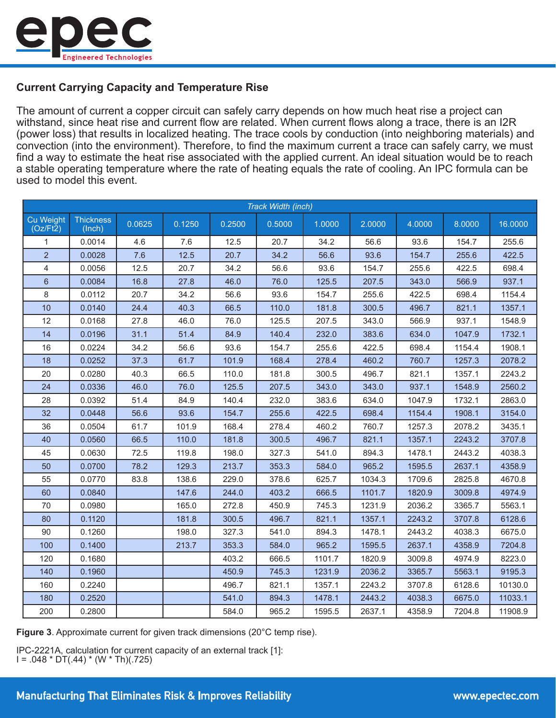

## **Current Carrying Capacity and Temperature Rise**

The amount of current a copper circuit can safely carry depends on how much heat rise a project can withstand, since heat rise and current flow are related. When current flows along a trace, there is an I2R (power loss) that results in localized heating. The trace cools by conduction (into neighboring materials) and convection (into the environment). Therefore, to find the maximum current a trace can safely carry, we must find a way to estimate the heat rise associated with the applied current. An ideal situation would be to reach a stable operating temperature where the rate of heating equals the rate of cooling. An IPC formula can be used to model this event.

| Track Width (inch)           |                            |        |        |        |        |        |        |        |        |         |
|------------------------------|----------------------------|--------|--------|--------|--------|--------|--------|--------|--------|---------|
| <b>Cu Weight</b><br>(Oz/Ft2) | <b>Thickness</b><br>(Inch) | 0.0625 | 0.1250 | 0.2500 | 0.5000 | 1.0000 | 2.0000 | 4.0000 | 8.0000 | 16.0000 |
| 1                            | 0.0014                     | 4.6    | 7.6    | 12.5   | 20.7   | 34.2   | 56.6   | 93.6   | 154.7  | 255.6   |
| $\overline{2}$               | 0.0028                     | 7.6    | 12.5   | 20.7   | 34.2   | 56.6   | 93.6   | 154.7  | 255.6  | 422.5   |
| 4                            | 0.0056                     | 12.5   | 20.7   | 34.2   | 56.6   | 93.6   | 154.7  | 255.6  | 422.5  | 698.4   |
| $6\phantom{1}$               | 0.0084                     | 16.8   | 27.8   | 46.0   | 76.0   | 125.5  | 207.5  | 343.0  | 566.9  | 937.1   |
| 8                            | 0.0112                     | 20.7   | 34.2   | 56.6   | 93.6   | 154.7  | 255.6  | 422.5  | 698.4  | 1154.4  |
| 10                           | 0.0140                     | 24.4   | 40.3   | 66.5   | 110.0  | 181.8  | 300.5  | 496.7  | 821.1  | 1357.1  |
| 12                           | 0.0168                     | 27.8   | 46.0   | 76.0   | 125.5  | 207.5  | 343.0  | 566.9  | 937.1  | 1548.9  |
| 14                           | 0.0196                     | 31.1   | 51.4   | 84.9   | 140.4  | 232.0  | 383.6  | 634.0  | 1047.9 | 1732.1  |
| 16                           | 0.0224                     | 34.2   | 56.6   | 93.6   | 154.7  | 255.6  | 422.5  | 698.4  | 1154.4 | 1908.1  |
| 18                           | 0.0252                     | 37.3   | 61.7   | 101.9  | 168.4  | 278.4  | 460.2  | 760.7  | 1257.3 | 2078.2  |
| 20                           | 0.0280                     | 40.3   | 66.5   | 110.0  | 181.8  | 300.5  | 496.7  | 821.1  | 1357.1 | 2243.2  |
| 24                           | 0.0336                     | 46.0   | 76.0   | 125.5  | 207.5  | 343.0  | 343.0  | 937.1  | 1548.9 | 2560.2  |
| 28                           | 0.0392                     | 51.4   | 84.9   | 140.4  | 232.0  | 383.6  | 634.0  | 1047.9 | 1732.1 | 2863.0  |
| 32                           | 0.0448                     | 56.6   | 93.6   | 154.7  | 255.6  | 422.5  | 698.4  | 1154.4 | 1908.1 | 3154.0  |
| 36                           | 0.0504                     | 61.7   | 101.9  | 168.4  | 278.4  | 460.2  | 760.7  | 1257.3 | 2078.2 | 3435.1  |
| 40                           | 0.0560                     | 66.5   | 110.0  | 181.8  | 300.5  | 496.7  | 821.1  | 1357.1 | 2243.2 | 3707.8  |
| 45                           | 0.0630                     | 72.5   | 119.8  | 198.0  | 327.3  | 541.0  | 894.3  | 1478.1 | 2443.2 | 4038.3  |
| 50                           | 0.0700                     | 78.2   | 129.3  | 213.7  | 353.3  | 584.0  | 965.2  | 1595.5 | 2637.1 | 4358.9  |
| 55                           | 0.0770                     | 83.8   | 138.6  | 229.0  | 378.6  | 625.7  | 1034.3 | 1709.6 | 2825.8 | 4670.8  |
| 60                           | 0.0840                     |        | 147.6  | 244.0  | 403.2  | 666.5  | 1101.7 | 1820.9 | 3009.8 | 4974.9  |
| 70                           | 0.0980                     |        | 165.0  | 272.8  | 450.9  | 745.3  | 1231.9 | 2036.2 | 3365.7 | 5563.1  |
| 80                           | 0.1120                     |        | 181.8  | 300.5  | 496.7  | 821.1  | 1357.1 | 2243.2 | 3707.8 | 6128.6  |
| 90                           | 0.1260                     |        | 198.0  | 327.3  | 541.0  | 894.3  | 1478.1 | 2443.2 | 4038.3 | 6675.0  |
| 100                          | 0.1400                     |        | 213.7  | 353.3  | 584.0  | 965.2  | 1595.5 | 2637.1 | 4358.9 | 7204.8  |
| 120                          | 0.1680                     |        |        | 403.2  | 666.5  | 1101.7 | 1820.9 | 3009.8 | 4974.9 | 8223.0  |
| 140                          | 0.1960                     |        |        | 450.9  | 745.3  | 1231.9 | 2036.2 | 3365.7 | 5563.1 | 9195.3  |
| 160                          | 0.2240                     |        |        | 496.7  | 821.1  | 1357.1 | 2243.2 | 3707.8 | 6128.6 | 10130.0 |
| 180                          | 0.2520                     |        |        | 541.0  | 894.3  | 1478.1 | 2443.2 | 4038.3 | 6675.0 | 11033.1 |
| 200                          | 0.2800                     |        |        | 584.0  | 965.2  | 1595.5 | 2637.1 | 4358.9 | 7204.8 | 11908.9 |

**Figure 3**. Approximate current for given track dimensions (20°C temp rise).

IPC-2221A, calculation for current capacity of an external track [1]:  $I = .048 * D\overline{T}(.44) * (W * Th)(.725)$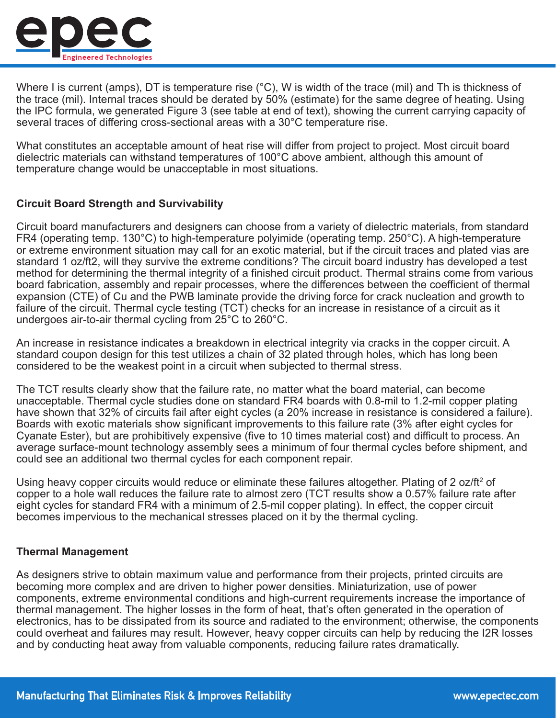

Where I is current (amps), DT is temperature rise (°C), W is width of the trace (mil) and Th is thickness of the trace (mil). Internal traces should be derated by 50% (estimate) for the same degree of heating. Using the IPC formula, we generated Figure 3 (see table at end of text), showing the current carrying capacity of several traces of differing cross-sectional areas with a 30°C temperature rise.

What constitutes an acceptable amount of heat rise will differ from project to project. Most circuit board dielectric materials can withstand temperatures of 100°C above ambient, although this amount of temperature change would be unacceptable in most situations.

### **Circuit Board Strength and Survivability**

Circuit board manufacturers and designers can choose from a variety of dielectric materials, from standard FR4 (operating temp. 130°C) to high-temperature polyimide (operating temp. 250°C). A high-temperature or extreme environment situation may call for an exotic material, but if the circuit traces and plated vias are standard 1 oz/ft2, will they survive the extreme conditions? The circuit board industry has developed a test method for determining the thermal integrity of a finished circuit product. Thermal strains come from various board fabrication, assembly and repair processes, where the differences between the coefficient of thermal expansion (CTE) of Cu and the PWB laminate provide the driving force for crack nucleation and growth to failure of the circuit. Thermal cycle testing (TCT) checks for an increase in resistance of a circuit as it undergoes air-to-air thermal cycling from 25°C to 260°C.

An increase in resistance indicates a breakdown in electrical integrity via cracks in the copper circuit. A standard coupon design for this test utilizes a chain of 32 plated through holes, which has long been considered to be the weakest point in a circuit when subjected to thermal stress.

The TCT results clearly show that the failure rate, no matter what the board material, can become unacceptable. Thermal cycle studies done on standard FR4 boards with 0.8-mil to 1.2-mil copper plating have shown that 32% of circuits fail after eight cycles (a 20% increase in resistance is considered a failure). Boards with exotic materials show significant improvements to this failure rate (3% after eight cycles for Cyanate Ester), but are prohibitively expensive (five to 10 times material cost) and difficult to process. An average surface-mount technology assembly sees a minimum of four thermal cycles before shipment, and could see an additional two thermal cycles for each component repair.

Using heavy copper circuits would reduce or eliminate these failures altogether. Plating of 2 oz/ft² of copper to a hole wall reduces the failure rate to almost zero (TCT results show a 0.57% failure rate after eight cycles for standard FR4 with a minimum of 2.5-mil copper plating). In effect, the copper circuit becomes impervious to the mechanical stresses placed on it by the thermal cycling.

### **Thermal Management**

As designers strive to obtain maximum value and performance from their projects, printed circuits are becoming more complex and are driven to higher power densities. Miniaturization, use of power components, extreme environmental conditions and high-current requirements increase the importance of thermal management. The higher losses in the form of heat, that's often generated in the operation of electronics, has to be dissipated from its source and radiated to the environment; otherwise, the components could overheat and failures may result. However, heavy copper circuits can help by reducing the I2R losses and by conducting heat away from valuable components, reducing failure rates dramatically.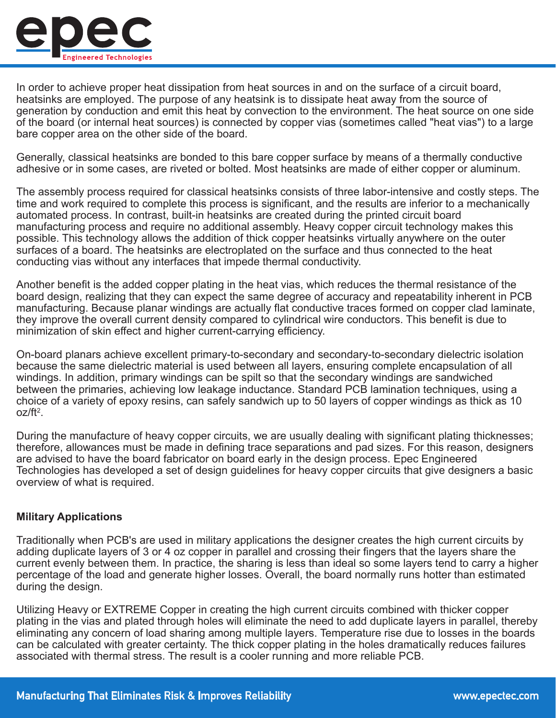

In order to achieve proper heat dissipation from heat sources in and on the surface of a circuit board, heatsinks are employed. The purpose of any heatsink is to dissipate heat away from the source of generation by conduction and emit this heat by convection to the environment. The heat source on one side of the board (or internal heat sources) is connected by copper vias (sometimes called "heat vias") to a large bare copper area on the other side of the board.

Generally, classical heatsinks are bonded to this bare copper surface by means of a thermally conductive adhesive or in some cases, are riveted or bolted. Most heatsinks are made of either copper or aluminum.

The assembly process required for classical heatsinks consists of three labor-intensive and costly steps. The time and work required to complete this process is significant, and the results are inferior to a mechanically automated process. In contrast, built-in heatsinks are created during the printed circuit board manufacturing process and require no additional assembly. Heavy copper circuit technology makes this possible. This technology allows the addition of thick copper heatsinks virtually anywhere on the outer surfaces of a board. The heatsinks are electroplated on the surface and thus connected to the heat conducting vias without any interfaces that impede thermal conductivity.

Another benefit is the added copper plating in the heat vias, which reduces the thermal resistance of the board design, realizing that they can expect the same degree of accuracy and repeatability inherent in PCB manufacturing. Because planar windings are actually flat conductive traces formed on copper clad laminate, they improve the overall current density compared to cylindrical wire conductors. This benefit is due to minimization of skin effect and higher current-carrying efficiency.

On-board planars achieve excellent primary-to-secondary and secondary-to-secondary dielectric isolation because the same dielectric material is used between all layers, ensuring complete encapsulation of all windings. In addition, primary windings can be spilt so that the secondary windings are sandwiched between the primaries, achieving low leakage inductance. Standard PCB lamination techniques, using a choice of a variety of epoxy resins, can safely sandwich up to 50 layers of copper windings as thick as 10 oz/ft<sup>2</sup>.

During the manufacture of heavy copper circuits, we are usually dealing with significant plating thicknesses; therefore, allowances must be made in defining trace separations and pad sizes. For this reason, designers are advised to have the board fabricator on board early in the design process. Epec Engineered Technologies has developed a set of design guidelines for heavy copper circuits that give designers a basic overview of what is required.

#### **Military Applications**

Traditionally when PCB's are used in military applications the designer creates the high current circuits by adding duplicate layers of 3 or 4 oz copper in parallel and crossing their fingers that the layers share the current evenly between them. In practice, the sharing is less than ideal so some layers tend to carry a higher percentage of the load and generate higher losses. Overall, the board normally runs hotter than estimated during the design.

Utilizing Heavy or EXTREME Copper in creating the high current circuits combined with thicker copper plating in the vias and plated through holes will eliminate the need to add duplicate layers in parallel, thereby eliminating any concern of load sharing among multiple layers. Temperature rise due to losses in the boards can be calculated with greater certainty. The thick copper plating in the holes dramatically reduces failures associated with thermal stress. The result is a cooler running and more reliable PCB.